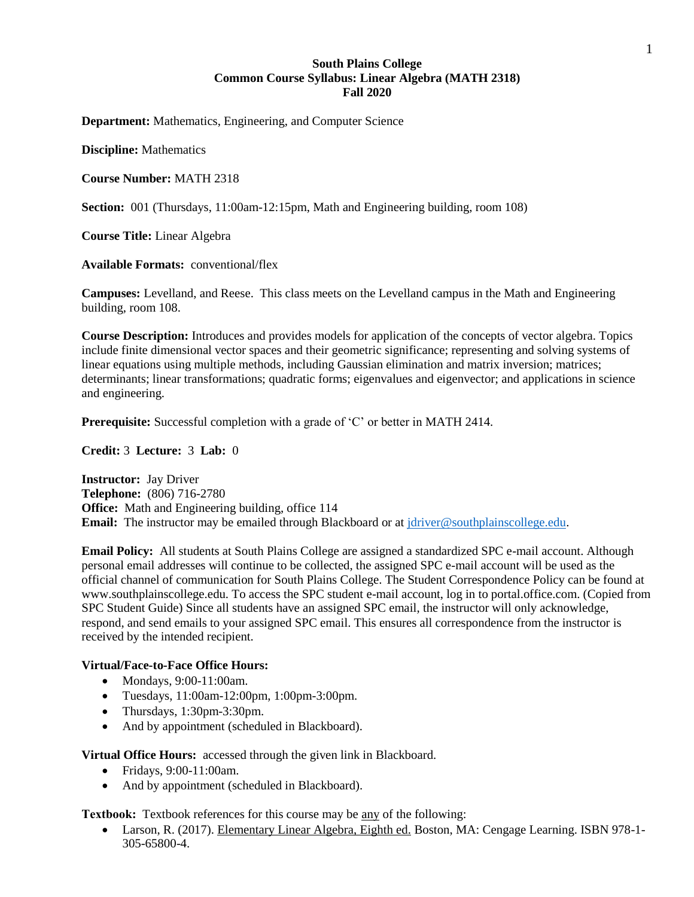# **South Plains College Common Course Syllabus: Linear Algebra (MATH 2318) Fall 2020**

**Department:** Mathematics, Engineering, and Computer Science

**Discipline:** Mathematics

**Course Number:** MATH 2318

**Section:** 001 (Thursdays, 11:00am-12:15pm, Math and Engineering building, room 108)

**Course Title:** Linear Algebra

**Available Formats:** conventional/flex

**Campuses:** Levelland, and Reese. This class meets on the Levelland campus in the Math and Engineering building, room 108.

**Course Description:** Introduces and provides models for application of the concepts of vector algebra. Topics include finite dimensional vector spaces and their geometric significance; representing and solving systems of linear equations using multiple methods, including Gaussian elimination and matrix inversion; matrices; determinants; linear transformations; quadratic forms; eigenvalues and eigenvector; and applications in science and engineering.

**Prerequisite:** Successful completion with a grade of 'C' or better in MATH 2414.

**Credit:** 3 **Lecture:** 3 **Lab:** 0

**Instructor:** Jay Driver **Telephone:** (806) 716-2780 **Office:** Math and Engineering building, office 114 **Email:** The instructor may be emailed through Blackboard or at [jdriver@southplainscollege.edu.](mailto:jdriver@southplainscollege.edu)

**Email Policy:** All students at South Plains College are assigned a standardized SPC e-mail account. Although personal email addresses will continue to be collected, the assigned SPC e-mail account will be used as the official channel of communication for South Plains College. The Student Correspondence Policy can be found at www.southplainscollege.edu. To access the SPC student e-mail account, log in to portal.office.com. (Copied from SPC Student Guide) Since all students have an assigned SPC email, the instructor will only acknowledge, respond, and send emails to your assigned SPC email. This ensures all correspondence from the instructor is received by the intended recipient.

#### **Virtual/Face-to-Face Office Hours:**

- Mondays, 9:00-11:00am.
- Tuesdays, 11:00am-12:00pm, 1:00pm-3:00pm.
- Thursdays, 1:30pm-3:30pm.
- And by appointment (scheduled in Blackboard).

**Virtual Office Hours:** accessed through the given link in Blackboard.

- Fridays, 9:00-11:00am.
- And by appointment (scheduled in Blackboard).

**Textbook:** Textbook references for this course may be any of the following:

• Larson, R. (2017). Elementary Linear Algebra, Eighth ed. Boston, MA: Cengage Learning. ISBN 978-1-305-65800-4.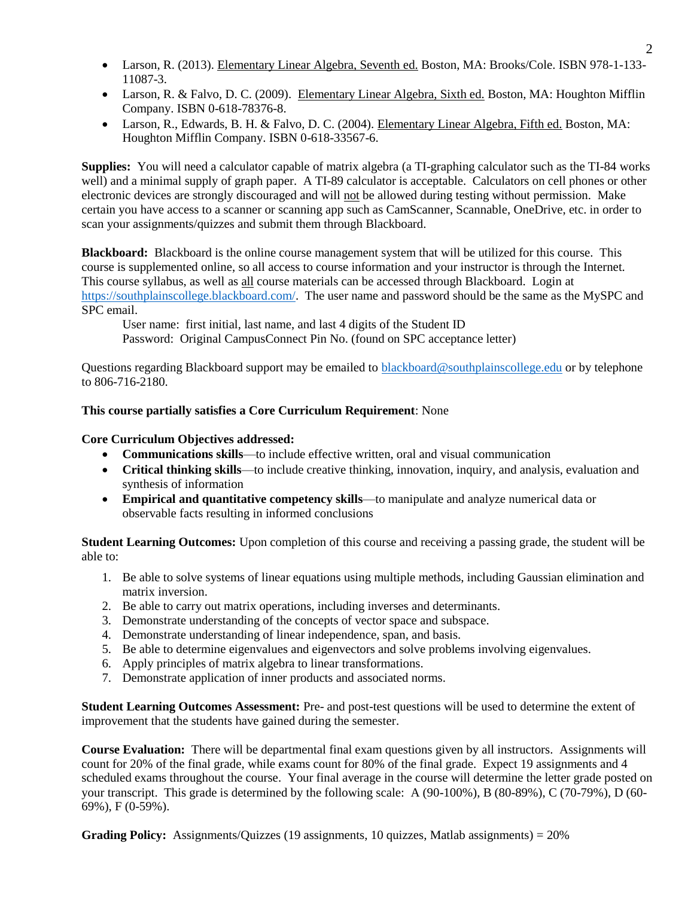- Larson, R. (2013). Elementary Linear Algebra, Seventh ed. Boston, MA: Brooks/Cole. ISBN 978-1-133-11087-3.
- Larson, R. & Falvo, D. C. (2009). Elementary Linear Algebra, Sixth ed. Boston, MA: Houghton Mifflin Company. ISBN 0-618-78376-8.
- Larson, R., Edwards, B. H. & Falvo, D. C. (2004). Elementary Linear Algebra, Fifth ed. Boston, MA: Houghton Mifflin Company. ISBN 0-618-33567-6.

**Supplies:** You will need a calculator capable of matrix algebra (a TI-graphing calculator such as the TI-84 works well) and a minimal supply of graph paper. A TI-89 calculator is acceptable. Calculators on cell phones or other electronic devices are strongly discouraged and will not be allowed during testing without permission. Make certain you have access to a scanner or scanning app such as CamScanner, Scannable, OneDrive, etc. in order to scan your assignments/quizzes and submit them through Blackboard.

**Blackboard:** Blackboard is the online course management system that will be utilized for this course. This course is supplemented online, so all access to course information and your instructor is through the Internet. This course syllabus, as well as all course materials can be accessed through Blackboard. Login at [https://southplainscollege.blackboard.com/.](https://southplainscollege.blackboard.com/) The user name and password should be the same as the MySPC and SPC email.

User name: first initial, last name, and last 4 digits of the Student ID Password: Original CampusConnect Pin No. (found on SPC acceptance letter)

Questions regarding Blackboard support may be emailed to [blackboard@southplainscollege.edu](mailto:blackboard@southplainscollege.edu) or by telephone to 806-716-2180.

# **This course partially satisfies a Core Curriculum Requirement**: None

# **Core Curriculum Objectives addressed:**

- **Communications skills**—to include effective written, oral and visual communication
- **Critical thinking skills**—to include creative thinking, innovation, inquiry, and analysis, evaluation and synthesis of information
- **Empirical and quantitative competency skills**—to manipulate and analyze numerical data or observable facts resulting in informed conclusions

**Student Learning Outcomes:** Upon completion of this course and receiving a passing grade, the student will be able to:

- 1. Be able to solve systems of linear equations using multiple methods, including Gaussian elimination and matrix inversion.
- 2. Be able to carry out matrix operations, including inverses and determinants.
- 3. Demonstrate understanding of the concepts of vector space and subspace.
- 4. Demonstrate understanding of linear independence, span, and basis.
- 5. Be able to determine eigenvalues and eigenvectors and solve problems involving eigenvalues.
- 6. Apply principles of matrix algebra to linear transformations.
- 7. Demonstrate application of inner products and associated norms.

**Student Learning Outcomes Assessment:** Pre- and post-test questions will be used to determine the extent of improvement that the students have gained during the semester.

**Course Evaluation:** There will be departmental final exam questions given by all instructors. Assignments will count for 20% of the final grade, while exams count for 80% of the final grade. Expect 19 assignments and 4 scheduled exams throughout the course. Your final average in the course will determine the letter grade posted on your transcript. This grade is determined by the following scale: A (90-100%), B (80-89%), C (70-79%), D (60- 69%), F (0-59%).

**Grading Policy:** Assignments/Quizzes (19 assignments, 10 quizzes, Matlab assignments) = 20%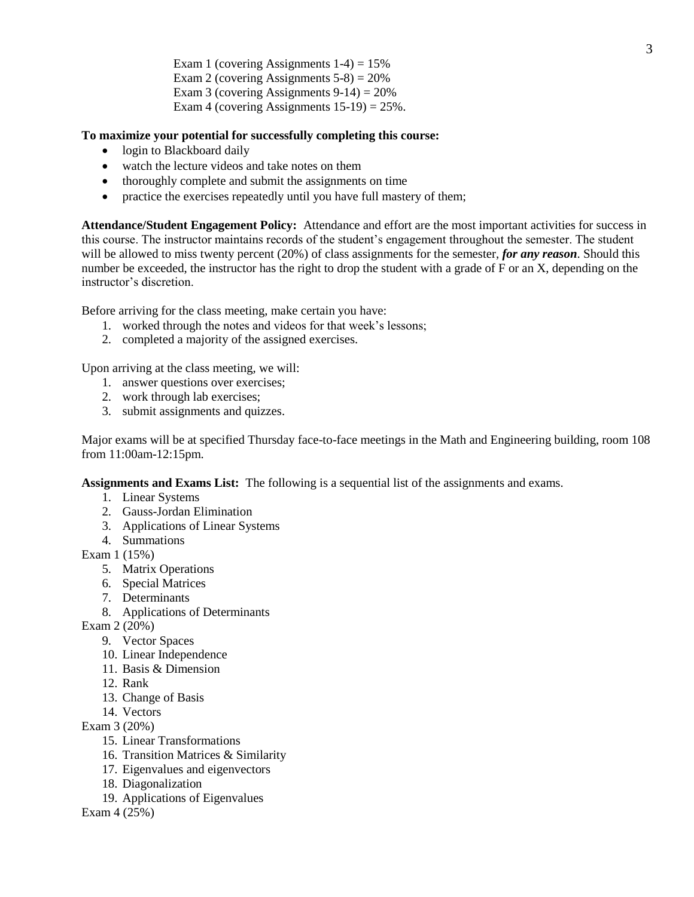Exam 1 (covering Assignments  $1-4$ ) = 15% Exam 2 (covering Assignments  $5-8$ ) =  $20\%$ Exam 3 (covering Assignments  $9-14$ ) = 20% Exam 4 (covering Assignments  $15-19$ ) = 25%.

### **To maximize your potential for successfully completing this course:**

- login to Blackboard daily
- watch the lecture videos and take notes on them
- thoroughly complete and submit the assignments on time
- practice the exercises repeatedly until you have full mastery of them;

**Attendance/Student Engagement Policy:** Attendance and effort are the most important activities for success in this course. The instructor maintains records of the student's engagement throughout the semester. The student will be allowed to miss twenty percent (20%) of class assignments for the semester, *for any reason*. Should this number be exceeded, the instructor has the right to drop the student with a grade of F or an X, depending on the instructor's discretion.

Before arriving for the class meeting, make certain you have:

- 1. worked through the notes and videos for that week's lessons;
- 2. completed a majority of the assigned exercises.

Upon arriving at the class meeting, we will:

- 1. answer questions over exercises;
- 2. work through lab exercises;
- 3. submit assignments and quizzes.

Major exams will be at specified Thursday face-to-face meetings in the Math and Engineering building, room 108 from 11:00am-12:15pm.

**Assignments and Exams List:** The following is a sequential list of the assignments and exams.

- 1. Linear Systems
- 2. Gauss-Jordan Elimination
- 3. Applications of Linear Systems
- 4. Summations

Exam 1 (15%)

- 5. Matrix Operations
- 6. Special Matrices
- 7. Determinants
- 8. Applications of Determinants

Exam 2 (20%)

- 9. Vector Spaces
- 10. Linear Independence
- 11. Basis & Dimension
- 12. Rank
- 13. Change of Basis
- 14. Vectors

Exam 3 (20%)

- 15. Linear Transformations
- 16. Transition Matrices & Similarity
- 17. Eigenvalues and eigenvectors
- 18. Diagonalization
- 19. Applications of Eigenvalues

Exam 4 (25%)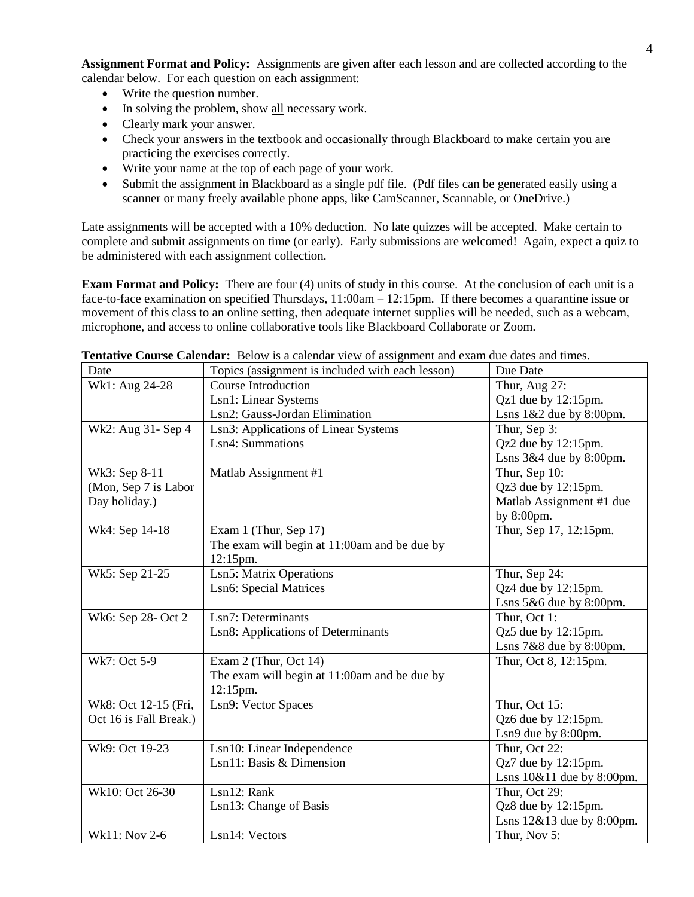**Assignment Format and Policy:** Assignments are given after each lesson and are collected according to the calendar below. For each question on each assignment:

- Write the question number.
- In solving the problem, show all necessary work.
- Clearly mark your answer.
- Check your answers in the textbook and occasionally through Blackboard to make certain you are practicing the exercises correctly.
- Write your name at the top of each page of your work.
- Submit the assignment in Blackboard as a single pdf file. (Pdf files can be generated easily using a scanner or many freely available phone apps, like CamScanner, Scannable, or OneDrive.)

Late assignments will be accepted with a 10% deduction. No late quizzes will be accepted. Make certain to complete and submit assignments on time (or early). Early submissions are welcomed! Again, expect a quiz to be administered with each assignment collection.

**Exam Format and Policy:** There are four (4) units of study in this course. At the conclusion of each unit is a face-to-face examination on specified Thursdays, 11:00am – 12:15pm. If there becomes a quarantine issue or movement of this class to an online setting, then adequate internet supplies will be needed, such as a webcam, microphone, and access to online collaborative tools like Blackboard Collaborate or Zoom.

| Date                   | Topics (assignment is included with each lesson) | Due Date                     |
|------------------------|--------------------------------------------------|------------------------------|
| Wk1: Aug 24-28         | Course Introduction                              | Thur, Aug 27:                |
|                        | Lsn1: Linear Systems                             | $Qz1$ due by $12:15$ pm.     |
|                        | Lsn2: Gauss-Jordan Elimination                   | Lsns $1&2$ due by 8:00pm.    |
| Wk2: Aug 31- Sep 4     | Lsn3: Applications of Linear Systems             | Thur, Sep 3:                 |
|                        | Lsn4: Summations                                 | Qz2 due by 12:15pm.          |
|                        |                                                  | Lsns $3&4$ due by 8:00pm.    |
| Wk3: Sep 8-11          | Matlab Assignment #1                             | Thur, Sep 10:                |
| (Mon, Sep 7 is Labor   |                                                  | Qz3 due by 12:15pm.          |
| Day holiday.)          |                                                  | Matlab Assignment #1 due     |
|                        |                                                  | by 8:00pm.                   |
| Wk4: Sep 14-18         | Exam 1 (Thur, Sep 17)                            | Thur, Sep 17, 12:15pm.       |
|                        | The exam will begin at 11:00am and be due by     |                              |
|                        | 12:15pm.                                         |                              |
| Wk5: Sep 21-25         | Lsn5: Matrix Operations                          | Thur, Sep 24:                |
|                        | <b>Lsn6: Special Matrices</b>                    | Qz4 due by $12:15$ pm.       |
|                        |                                                  | Lsns $5&6$ due by $8:00$ pm. |
| Wk6: Sep 28- Oct 2     | Lsn7: Determinants                               | Thur, Oct 1:                 |
|                        | Lsn8: Applications of Determinants               | Qz5 due by $12:15$ pm.       |
|                        |                                                  | Lsns $7&8$ due by 8:00pm.    |
| Wk7: Oct 5-9           | Exam 2 (Thur, Oct 14)                            | Thur, Oct 8, 12:15pm.        |
|                        | The exam will begin at 11:00am and be due by     |                              |
|                        | 12:15pm.                                         |                              |
| Wk8: Oct 12-15 (Fri,   | Lsn9: Vector Spaces                              | Thur, Oct 15:                |
| Oct 16 is Fall Break.) |                                                  | Qz6 due by 12:15pm.          |
|                        |                                                  | Lsn9 due by 8:00pm.          |
| Wk9: Oct 19-23         | Lsn10: Linear Independence                       | Thur, Oct 22:                |
|                        | Lsn11: Basis & Dimension                         | Qz7 due by 12:15pm.          |
|                        |                                                  | Lsns 10&11 due by 8:00pm.    |
| Wk10: Oct 26-30        | Lsn12: Rank                                      | Thur, Oct 29:                |
|                        | Lsn13: Change of Basis                           | Qz8 due by 12:15pm.          |
|                        |                                                  | Lsns 12&13 due by 8:00pm.    |
| Wk11: Nov 2-6          | Lsn14: Vectors                                   | Thur, Nov 5:                 |

**Tentative Course Calendar:** Below is a calendar view of assignment and exam due dates and times.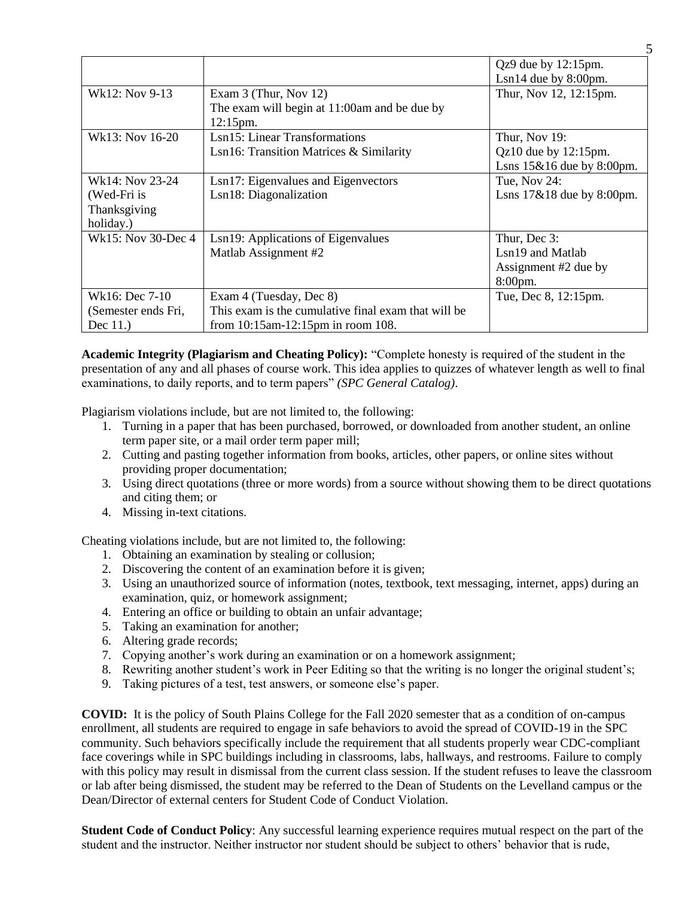|                     |                                                     | $Qz9$ due by 12:15pm.        |
|---------------------|-----------------------------------------------------|------------------------------|
|                     |                                                     | $Lsn14$ due by 8:00pm.       |
| Wk12: Nov 9-13      | Exam $3$ (Thur, Nov 12)                             | Thur, Nov 12, 12:15pm.       |
|                     | The exam will begin at 11:00am and be due by        |                              |
|                     | 12:15pm.                                            |                              |
| Wk13: Nov 16-20     | Lsn15: Linear Transformations                       | Thur, Nov 19:                |
|                     | Lsn16: Transition Matrices & Similarity             | $Qz10$ due by $12:15$ pm.    |
|                     |                                                     | Lsns $15\&16$ due by 8:00pm. |
| Wk14: Nov 23-24     | Lsn17: Eigenvalues and Eigenvectors                 | Tue, Nov 24:                 |
| (Wed-Fri is         | Lsn18: Diagonalization                              | Lsns $17&818$ due by 8:00pm. |
| Thanksgiving        |                                                     |                              |
| holiday.)           |                                                     |                              |
| Wk15: Nov 30-Dec 4  | Lsn19: Applications of Eigenvalues                  | Thur, Dec 3:                 |
|                     | Matlab Assignment #2                                | Lsn19 and Matlab             |
|                     |                                                     | Assignment #2 due by         |
|                     |                                                     | 8:00pm.                      |
| Wk16: Dec 7-10      | Exam 4 (Tuesday, Dec 8)                             | Tue, Dec 8, 12:15pm.         |
| (Semester ends Fri, | This exam is the cumulative final exam that will be |                              |
| Dec $11.$ )         | from 10:15am-12:15pm in room 108.                   |                              |

**Academic Integrity (Plagiarism and Cheating Policy):** "Complete honesty is required of the student in the presentation of any and all phases of course work. This idea applies to quizzes of whatever length as well to final examinations, to daily reports, and to term papers" *(SPC General Catalog)*.

Plagiarism violations include, but are not limited to, the following:

- 1. Turning in a paper that has been purchased, borrowed, or downloaded from another student, an online term paper site, or a mail order term paper mill;
- 2. Cutting and pasting together information from books, articles, other papers, or online sites without providing proper documentation;
- 3. Using direct quotations (three or more words) from a source without showing them to be direct quotations and citing them; or
- 4. Missing in-text citations.

Cheating violations include, but are not limited to, the following:

- 1. Obtaining an examination by stealing or collusion;
- 2. Discovering the content of an examination before it is given;
- 3. Using an unauthorized source of information (notes, textbook, text messaging, internet, apps) during an examination, quiz, or homework assignment;
- 4. Entering an office or building to obtain an unfair advantage;
- 5. Taking an examination for another;
- 6. Altering grade records;
- 7. Copying another's work during an examination or on a homework assignment;
- 8. Rewriting another student's work in Peer Editing so that the writing is no longer the original student's;
- 9. Taking pictures of a test, test answers, or someone else's paper.

**COVID:** It is the policy of South Plains College for the Fall 2020 semester that as a condition of on-campus enrollment, all students are required to engage in safe behaviors to avoid the spread of COVID-19 in the SPC community. Such behaviors specifically include the requirement that all students properly wear CDC-compliant face coverings while in SPC buildings including in classrooms, labs, hallways, and restrooms. Failure to comply with this policy may result in dismissal from the current class session. If the student refuses to leave the classroom or lab after being dismissed, the student may be referred to the Dean of Students on the Levelland campus or the Dean/Director of external centers for Student Code of Conduct Violation.

**Student Code of Conduct Policy**: Any successful learning experience requires mutual respect on the part of the student and the instructor. Neither instructor nor student should be subject to others' behavior that is rude,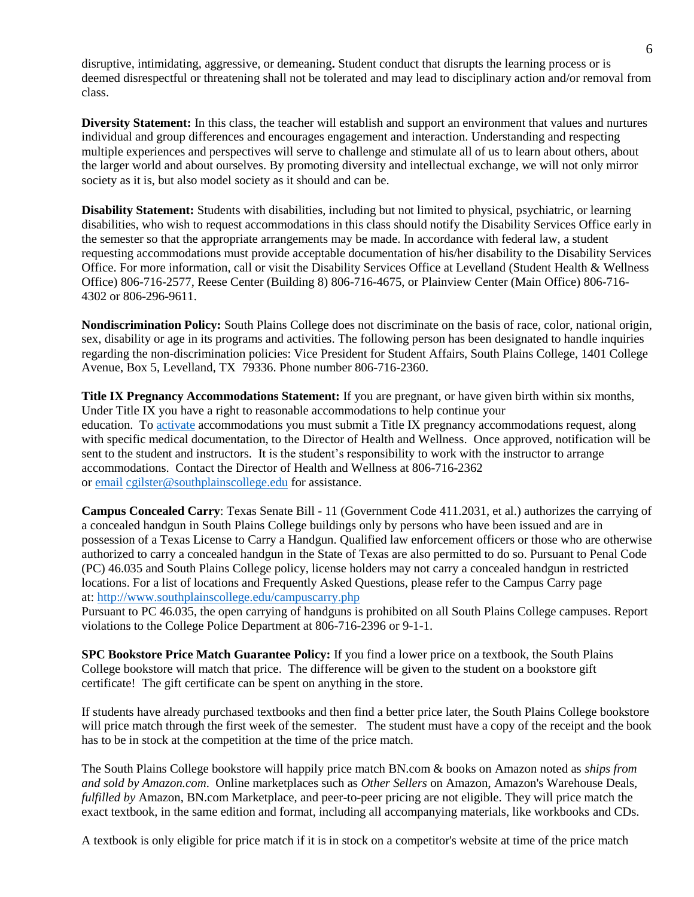disruptive, intimidating, aggressive, or demeaning**.** Student conduct that disrupts the learning process or is deemed disrespectful or threatening shall not be tolerated and may lead to disciplinary action and/or removal from class.

**Diversity Statement:** In this class, the teacher will establish and support an environment that values and nurtures individual and group differences and encourages engagement and interaction. Understanding and respecting multiple experiences and perspectives will serve to challenge and stimulate all of us to learn about others, about the larger world and about ourselves. By promoting diversity and intellectual exchange, we will not only mirror society as it is, but also model society as it should and can be.

**Disability Statement:** Students with disabilities, including but not limited to physical, psychiatric, or learning disabilities, who wish to request accommodations in this class should notify the Disability Services Office early in the semester so that the appropriate arrangements may be made. In accordance with federal law, a student requesting accommodations must provide acceptable documentation of his/her disability to the Disability Services Office. For more information, call or visit the Disability Services Office at Levelland (Student Health & Wellness Office) 806-716-2577, Reese Center (Building 8) 806-716-4675, or Plainview Center (Main Office) 806-716- 4302 or 806-296-9611.

**Nondiscrimination Policy:** South Plains College does not discriminate on the basis of race, color, national origin, sex, disability or age in its programs and activities. The following person has been designated to handle inquiries regarding the non-discrimination policies: Vice President for Student Affairs, South Plains College, 1401 College Avenue, Box 5, Levelland, TX 79336. Phone number 806-716-2360.

**Title IX Pregnancy Accommodations Statement:** If you are pregnant, or have given birth within six months, Under Title IX you have a right to reasonable accommodations to help continue your education. To [activate](http://www.southplainscollege.edu/employees/manualshandbooks/facultyhandbook/sec4.php) accommodations you must submit a Title IX pregnancy accommodations request, along with specific medical documentation, to the Director of Health and Wellness. Once approved, notification will be sent to the student and instructors. It is the student's responsibility to work with the instructor to arrange accommodations. Contact the Director of Health and Wellness at 806-716-2362 or [email](http://www.southplainscollege.edu/employees/manualshandbooks/facultyhandbook/sec4.php) [cgilster@southplainscollege.edu](mailto:cgilster@southplainscollege.edu) for assistance.

**Campus Concealed Carry**: Texas Senate Bill - 11 (Government Code 411.2031, et al.) authorizes the carrying of a concealed handgun in South Plains College buildings only by persons who have been issued and are in possession of a Texas License to Carry a Handgun. Qualified law enforcement officers or those who are otherwise authorized to carry a concealed handgun in the State of Texas are also permitted to do so. Pursuant to Penal Code (PC) 46.035 and South Plains College policy, license holders may not carry a concealed handgun in restricted locations. For a list of locations and Frequently Asked Questions, please refer to the Campus Carry page at: <http://www.southplainscollege.edu/campuscarry.php>

Pursuant to PC 46.035, the open carrying of handguns is prohibited on all South Plains College campuses. Report violations to the College Police Department at 806-716-2396 or 9-1-1.

**SPC Bookstore Price Match Guarantee Policy:** If you find a lower price on a textbook, the South Plains College bookstore will match that price. The difference will be given to the student on a bookstore gift certificate! The gift certificate can be spent on anything in the store.

If students have already purchased textbooks and then find a better price later, the South Plains College bookstore will price match through the first week of the semester. The student must have a copy of the receipt and the book has to be in stock at the competition at the time of the price match.

The South Plains College bookstore will happily price match BN.com & books on Amazon noted as *ships from and sold by Amazon.com*. Online marketplaces such as *Other Sellers* on Amazon, Amazon's Warehouse Deals, *fulfilled by* Amazon, BN.com Marketplace, and peer-to-peer pricing are not eligible. They will price match the exact textbook, in the same edition and format, including all accompanying materials, like workbooks and CDs.

A textbook is only eligible for price match if it is in stock on a competitor's website at time of the price match